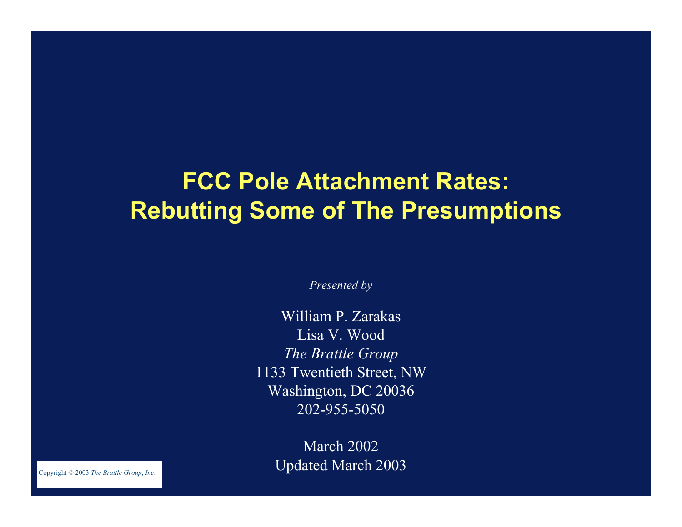# **FCC Pole Attachment Rates: Rebutting Some of The Presumptions**

*Presented by*

William P. Zarakas Lisa V. Wood*The Brattle Group* 1133 Twentieth Street, NW Washington, DC 20036 202-955-5050

> March 2002 Updated March 2003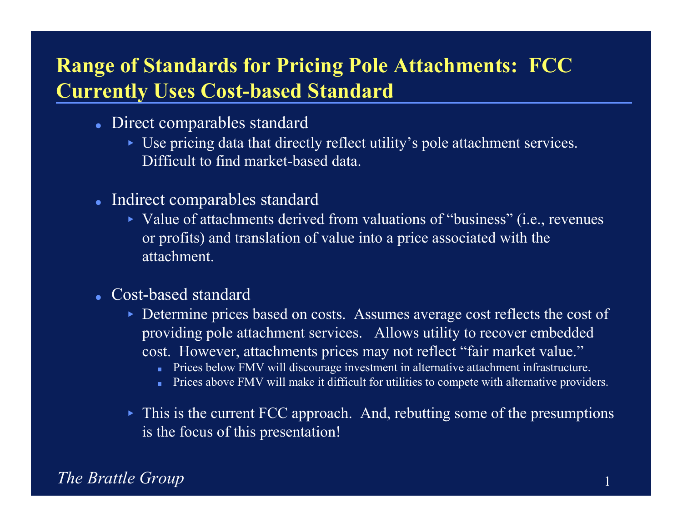# **Range of Standards for Pricing Pole Attachments: FCC Currently Uses Cost-based Standard**

- Direct comparables standard
	- Use pricing data that directly reflect utility's pole attachment services. Difficult to find market-based data.
- Indirect comparables standard
	- Value of attachments derived from valuations of "business" (i.e., revenues or profits) and translation of value into a price associated with the attachment.
- Cost-based standard
	- Determine prices based on costs. Assumes average cost reflects the cost of providing pole attachment services. Allows utility to recover embedded cost. However, attachments prices may not reflect "fair market value."
		- **Prices below FMV will discourage investment in alternative attachment infrastructure.**
		- Prices above FMV will make it difficult for utilities to compete with alternative providers.
	- This is the current FCC approach. And, rebutting some of the presumptions is the focus of this presentation!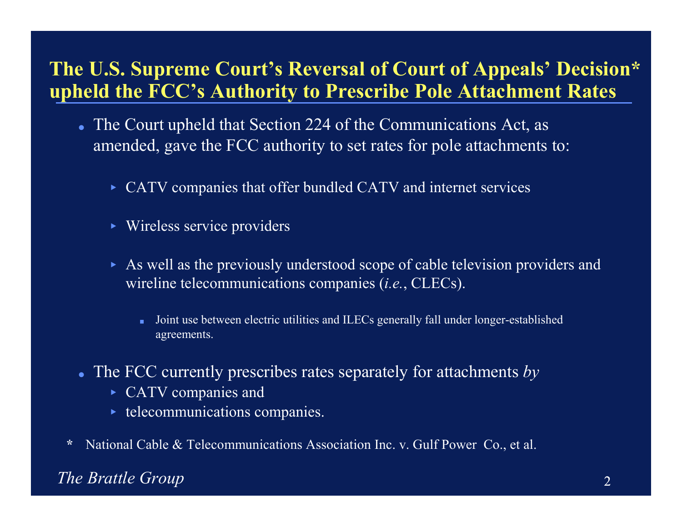### **The U.S. Supreme Court's Reversal of Court of Appeals' Decision\* upheld the FCC's Authority to Prescribe Pole Attachment Rates**

- The Court upheld that Section 224 of the Communications Act, as amended, gave the FCC authority to set rates for pole attachments to:
	- CATV companies that offer bundled CATV and internet services
	- Wireless service providers
	- As well as the previously understood scope of cable television providers and wireline telecommunications companies (*i.e.*, CLECs).
		- п Joint use between electric utilities and ILECs generally fall under longer-established agreements.
- The FCC currently prescribes rates separately for attachments *by*
	- ► CATV companies and
	- $\blacktriangleright$  telecommunications companies.
- **\***National Cable & Telecommunications Association Inc. v. Gulf Power Co., et al.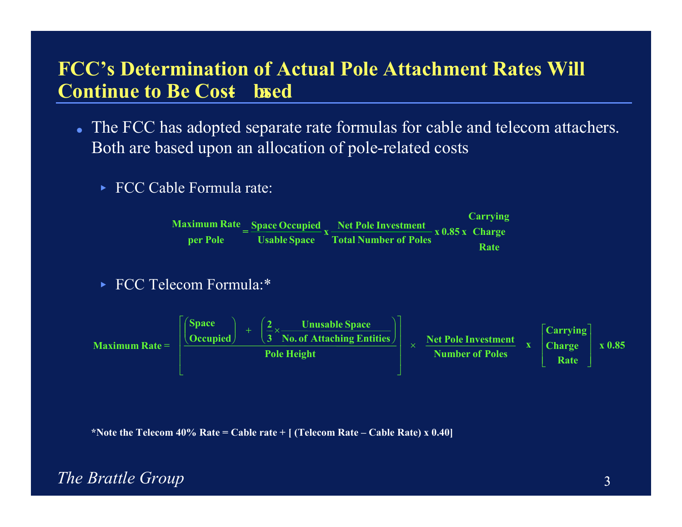### **FCC's Determination of Actual Pole Attachment Rates Will Continue to Be Cost- based**

- The FCC has adopted separate rate formulas for cable and telecom attachers. Both are based upon an allocation of pole-related costs
	- ► FCC Cable Formula rate:

**RateCharge x 0.85 x Total Number of Poles Carrying Net Pole Investment x Usable Space Space Occupied = per Pole Maximum Rate**

► FCC Telecom Formula:\*



**\*Note the Telecom 40% Rate = Cable rate + [ (Telecom Rate – Cable Rate) x 0.40]**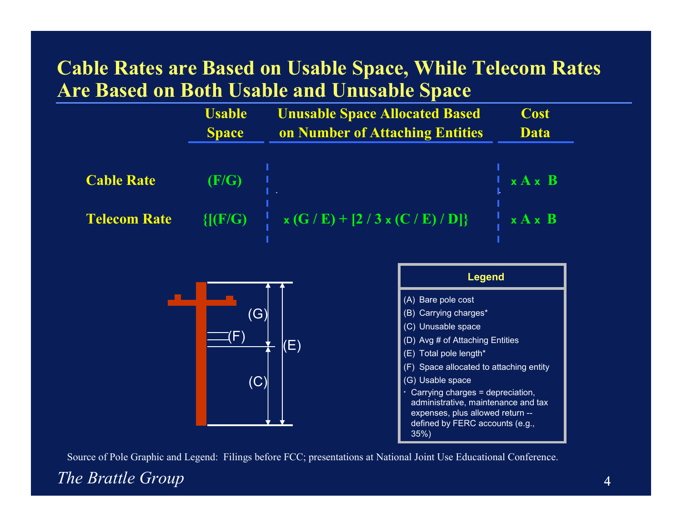### **Cable Rates are Based on Usable Space, While Telecom Rates Are Based on Both Usable and Unusable Space**

|                     | <b>Usable</b><br><b>Space</b> | <b>Unusable Space Allocated Based</b><br>on Number of Attaching Entities | <b>Cost</b><br><b>Data</b> |
|---------------------|-------------------------------|--------------------------------------------------------------------------|----------------------------|
| <b>Cable Rate</b>   | (F/G)                         |                                                                          | x A x B                    |
| <b>Telecom Rate</b> |                               | $\{[(F/G) \quad   \quad x(G/E) + [2/3 x(C/E)/D]\}$                       | $\frac{1}{2}$ x A x B      |





Source of Pole Graphic and Legend: Filings before FCC; presentations at National Joint Use Educational Conference.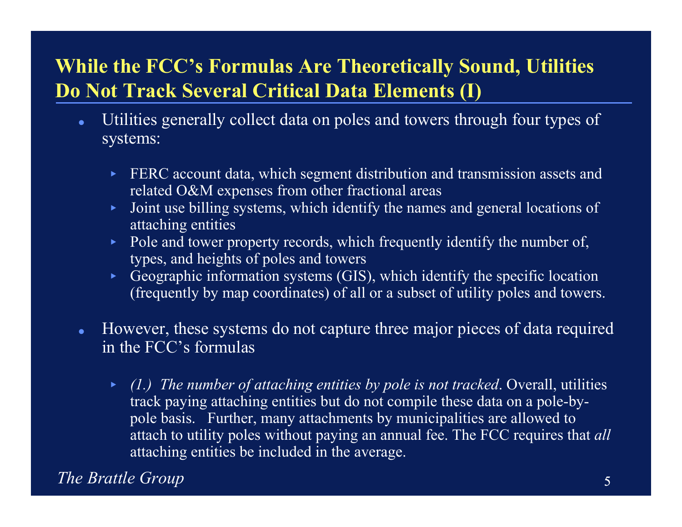# **While the FCC's Formulas Are Theoretically Sound, Utilities Do Not Track Several Critical Data Elements (I)**

- $\bullet$  Utilities generally collect data on poles and towers through four types of systems:
	- $\blacktriangleright$  FERC account data, which segment distribution and transmission assets and related O&M expenses from other fractional areas
	- $\blacktriangleright$  . Joint use billing systems, which identify the names and general locations of attaching entities
	- $\blacktriangleright$  . Pole and tower property records, which frequently identify the number of, types, and heights of poles and towers
	- ▶ Geographic information systems (GIS), which identify the specific location (frequently by map coordinates) of all or a subset of utility poles and towers.
- $\bullet$  However, these systems do not capture three major pieces of data required in the FCC's formulas
	- *(1.) The number of attaching entities by pole is not tracked*. Overall, utilities track paying attaching entities but do not compile these data on a pole-bypole basis. Further, many attachments by municipalities are allowed to attach to utility poles without paying an annual fee. The FCC requires that *all*  attaching entities be included in the average.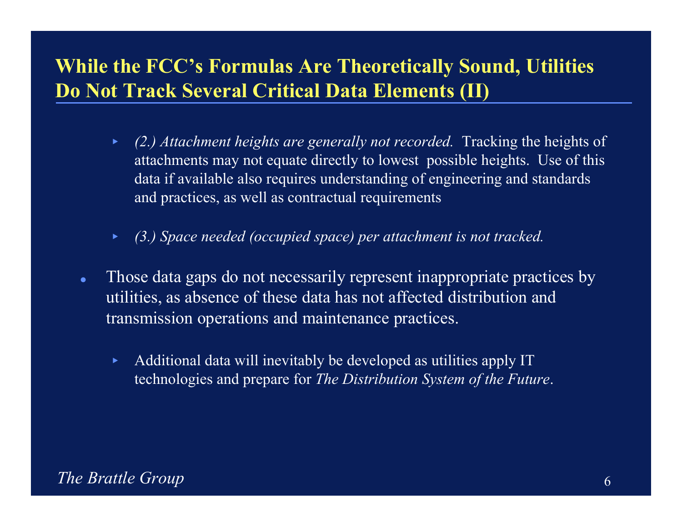## **While the FCC's Formulas Are Theoretically Sound, Utilities Do Not Track Several Critical Data Elements (II)**

- $\blacktriangleright$  *(2.) Attachment heights are generally not recorded.* Tracking the heights of attachments may not equate directly to lowest possible heights. Use of this data if available also requires understanding of engineering and standards and practices, as well as contractual requirements
- $\blacktriangleright$ *(3.) Space needed (occupied space) per attachment is not tracked.*
- $\bullet$  Those data gaps do not necessarily represent inappropriate practices by utilities, as absence of these data has not affected distribution and transmission operations and maintenance practices.
	- $\blacktriangleright$  Additional data will inevitably be developed as utilities apply IT technologies and prepare for *The Distribution System of the Future*.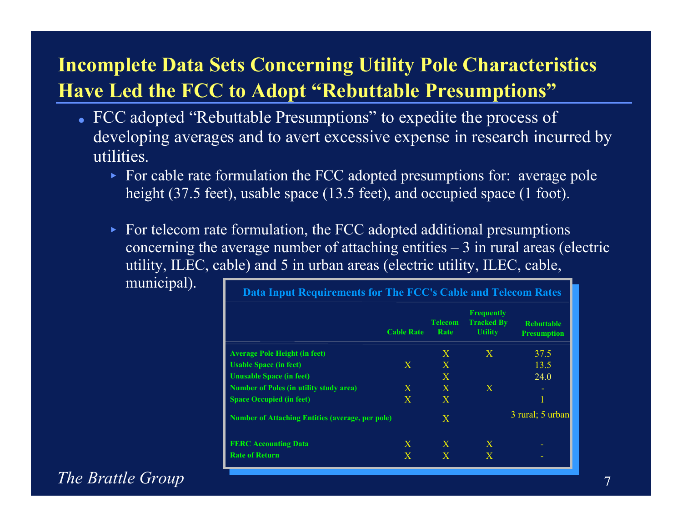# **Incomplete Data Sets Concerning Utility Pole Characteristics Have Led the FCC to Adopt "Rebuttable Presumptions"**

- FCC adopted "Rebuttable Presumptions" to expedite the process of developing averages and to avert excessive expense in research incurred by utilities.
	- For cable rate formulation the FCC adopted presumptions for: average pole height (37.5 feet), usable space (13.5 feet), and occupied space (1 foot).
	- $\triangleright$  For telecom rate formulation, the FCC adopted additional presumptions concerning the average number of attaching entities  $-3$  in rural areas (electric utility, ILEC, cable) and 5 in urban areas (electric utility, ILEC, cable,

municipal).

| Data Input Requirements for The FCC's Cable and Telecom Rates |                        |                                                          |                                         |
|---------------------------------------------------------------|------------------------|----------------------------------------------------------|-----------------------------------------|
| <b>Cable Rate</b>                                             | <b>Telecom</b><br>Rate | <b>Frequently</b><br><b>Tracked By</b><br><b>Utility</b> | <b>Rebuttable</b><br><b>Presumption</b> |
|                                                               | $\mathbf{X}$           | X                                                        | 37.5                                    |
| $\mathbf{X}$                                                  | $\mathbf{X}$           |                                                          | 13.5                                    |
|                                                               | X                      |                                                          | 24.0                                    |
| $\mathbf{X}$                                                  | $\mathbf{X}$           | $\mathbf{X}$                                             |                                         |
| $\mathbf{X}$                                                  | $\mathbf{X}$           |                                                          | 1                                       |
| <b>Number of Attaching Entities (average, per pole)</b>       | $\mathbf{X}$           |                                                          | 3 rural; 5 urban                        |
| $\mathbf{X}$                                                  | $\mathbf{X}$           | $\mathbf{X}$                                             |                                         |
| $\mathbf{X}$                                                  | X                      | $\mathbf{X}$                                             |                                         |
|                                                               |                        |                                                          |                                         |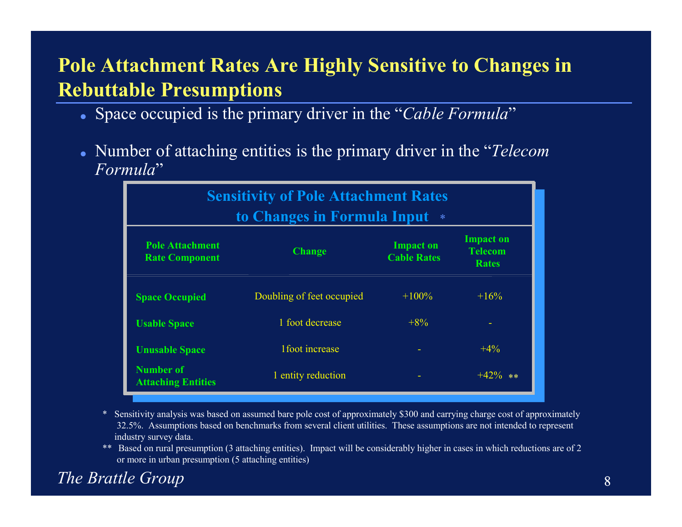# **Pole Attachment Rates Are Highly Sensitive to Changes in Rebuttable Presumptions**

- Space occupied is the primary driver in the "*Cable Formula*"
- Number of attaching entities is the primary driver in the "*Telecom Formula*"

| <b>Sensitivity of Pole Attachment Rates</b><br>to Changes in Formula Input<br>$\ast$ |                           |                                        |                                                    |
|--------------------------------------------------------------------------------------|---------------------------|----------------------------------------|----------------------------------------------------|
| <b>Pole Attachment</b><br><b>Rate Component</b>                                      | <b>Change</b>             | <b>Impact on</b><br><b>Cable Rates</b> | <b>Impact on</b><br><b>Telecom</b><br><b>Rates</b> |
| <b>Space Occupied</b>                                                                | Doubling of feet occupied | $+100\%$                               | $+16\%$                                            |
| <b>Usable Space</b>                                                                  | 1 foot decrease           | $+8\%$                                 |                                                    |
| <b>Unusable Space</b>                                                                | 1 foot increase           |                                        | $+4%$                                              |
| <b>Number of</b><br><b>Attaching Entities</b>                                        | 1 entity reduction        |                                        | $+42\%$ **                                         |

- \* Sensitivity analysis was based on assumed bare pole cost of approximately \$300 and carrying charge cost of approximately 32.5%. Assumptions based on benchmarks from several client utilities. These assumptions are not intended to represent industry survey data.
- \*\* Based on rural presumption (3 attaching entities). Impact will be considerably higher in cases in which reductions are of 2 or more in urban presumption (5 attaching entities)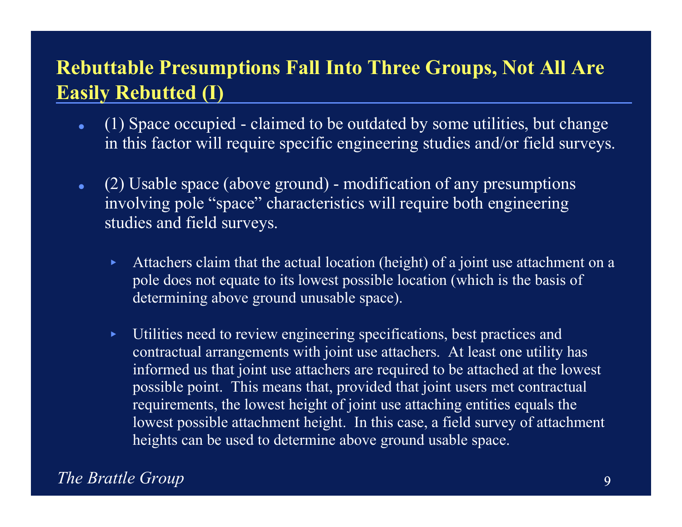# **Rebuttable Presumptions Fall Into Three Groups, Not All Are Easily Rebutted (I)**

- $\bullet$  (1) Space occupied - claimed to be outdated by some utilities, but change in this factor will require specific engineering studies and/or field surveys.
- $\bullet$  (2) Usable space (above ground) - modification of any presumptions involving pole "space" characteristics will require both engineering studies and field surveys.
	- $\blacktriangleright$  Attachers claim that the actual location (height) of a joint use attachment on a pole does not equate to its lowest possible location (which is the basis of determining above ground unusable space).
	- $\blacktriangleright$  Utilities need to review engineering specifications, best practices and contractual arrangements with joint use attachers. At least one utility has informed us that joint use attachers are required to be attached at the lowest possible point. This means that, provided that joint users met contractual requirements, the lowest height of joint use attaching entities equals the lowest possible attachment height. In this case, a field survey of attachment heights can be used to determine above ground usable space.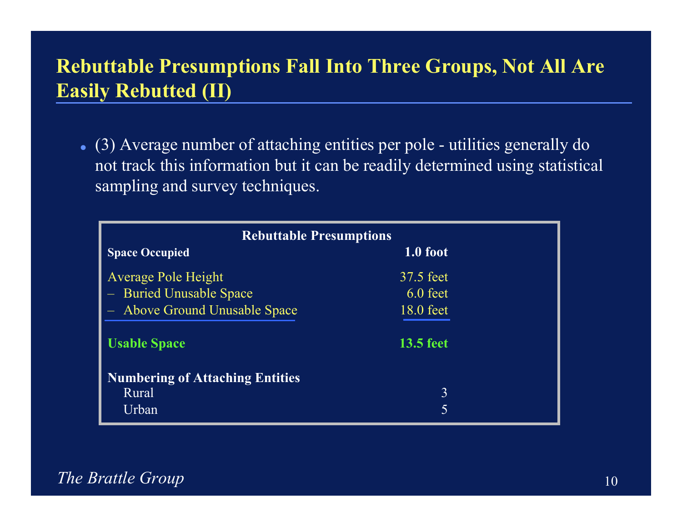# **Rebuttable Presumptions Fall Into Three Groups, Not All Are Easily Rebutted (II)**

 (3) Average number of attaching entities per pole - utilities generally do not track this information but it can be readily determined using statistical sampling and survey techniques.

| <b>Rebuttable Presumptions</b>         |                  |  |  |
|----------------------------------------|------------------|--|--|
| <b>Space Occupied</b>                  | 1.0 foot         |  |  |
| <b>Average Pole Height</b>             | 37.5 feet        |  |  |
| - Buried Unusable Space                | $6.0$ feet       |  |  |
| - Above Ground Unusable Space          | 18.0 feet        |  |  |
| <b>Usable Space</b>                    | <b>13.5 feet</b> |  |  |
| <b>Numbering of Attaching Entities</b> |                  |  |  |
| Rural                                  | 3                |  |  |
| Urban                                  | 5                |  |  |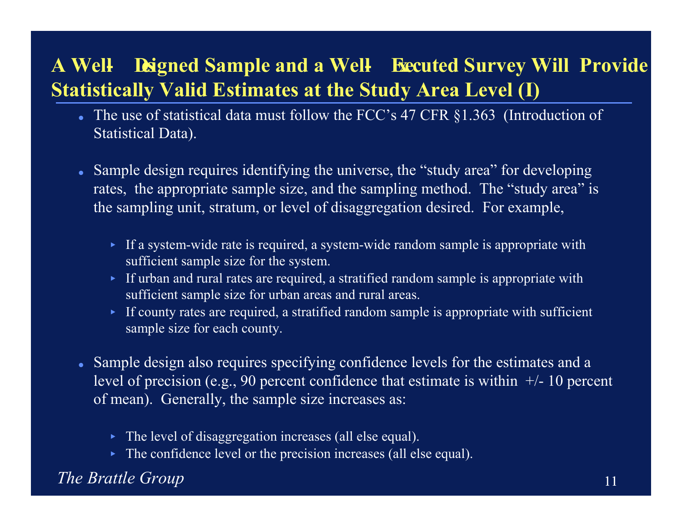# **A Well- Designed Sample and a Well- Executed Survey Will Provide Statistically Valid Estimates at the Study Area Level (I)**

- The use of statistical data must follow the FCC's 47 CFR §1.363 (Introduction of Statistical Data).
- Sample design requires identifying the universe, the "study area" for developing rates, the appropriate sample size, and the sampling method. The "study area" is the sampling unit, stratum, or level of disaggregation desired. For example,
	- If a system-wide rate is required, a system-wide random sample is appropriate with sufficient sample size for the system.
	- If urban and rural rates are required, a stratified random sample is appropriate with sufficient sample size for urban areas and rural areas.
	- If county rates are required, a stratified random sample is appropriate with sufficient sample size for each county.
- Sample design also requires specifying confidence levels for the estimates and a level of precision (e.g., 90 percent confidence that estimate is within  $+/-10$  percent of mean). Generally, the sample size increases as:
	- The level of disaggregation increases (all else equal).
	- The confidence level or the precision increases (all else equal).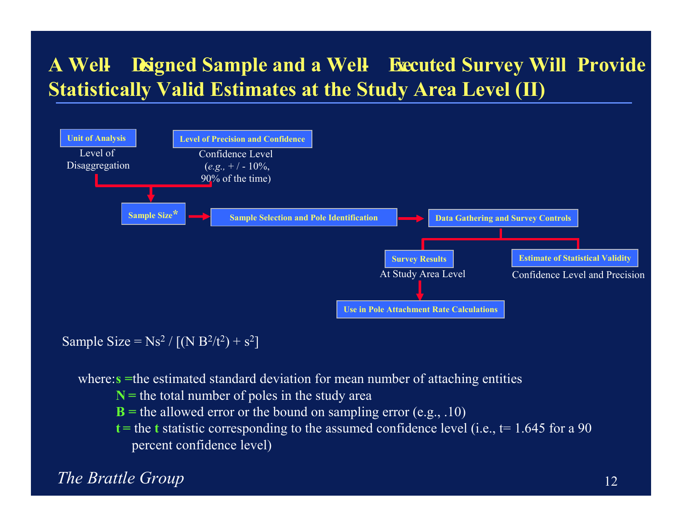# **A Well- Designed Sample and a Well- Executed Survey Will Provide Statistically Valid Estimates at the Study Area Level (II)**



Sample Size =  $Ns^2 / [(N B^2/t^2) + s^2]$ 

where: **s** = the estimated standard deviation for mean number of attaching entities

- **N <sup>=</sup>** the total number of poles in the study area
- **B =** the allowed error or the bound on sampling error (e.g., .10)
- **t <sup>=</sup>** the **<sup>t</sup>** statistic corresponding to the assumed confidence level (i.e., t= 1.645 for a 90 percent confidence level)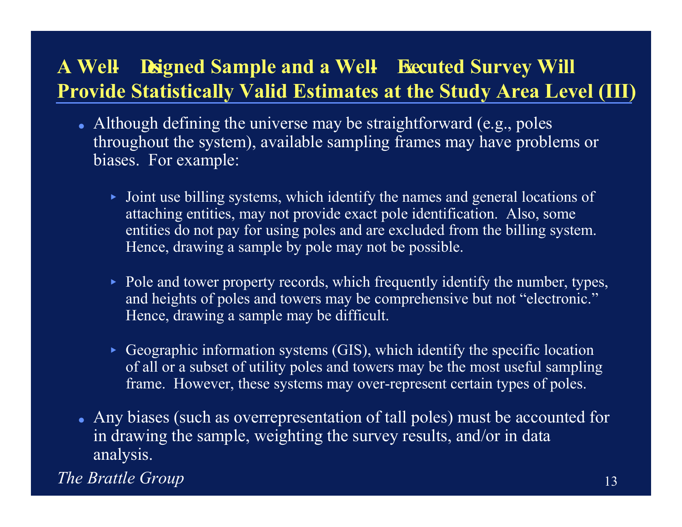# **A Well- Designed Sample and a Well- Executed Survey Will Provide Statistically Valid Estimates at the Study Area Level (III)**

- Although defining the universe may be straightforward (e.g., poles throughout the system), available sampling frames may have problems or biases. For example:
	- Joint use billing systems, which identify the names and general locations of attaching entities, may not provide exact pole identification. Also, some entities do not pay for using poles and are excluded from the billing system. Hence, drawing a sample by pole may not be possible.
	- Pole and tower property records, which frequently identify the number, types, and heights of poles and towers may be comprehensive but not "electronic." Hence, drawing a sample may be difficult.
	- Geographic information systems (GIS), which identify the specific location of all or a subset of utility poles and towers may be the most useful sampling frame. However, these systems may over-represent certain types of poles.
- Any biases (such as overrepresentation of tall poles) must be accounted for in drawing the sample, weighting the survey results, and/or in data analysis.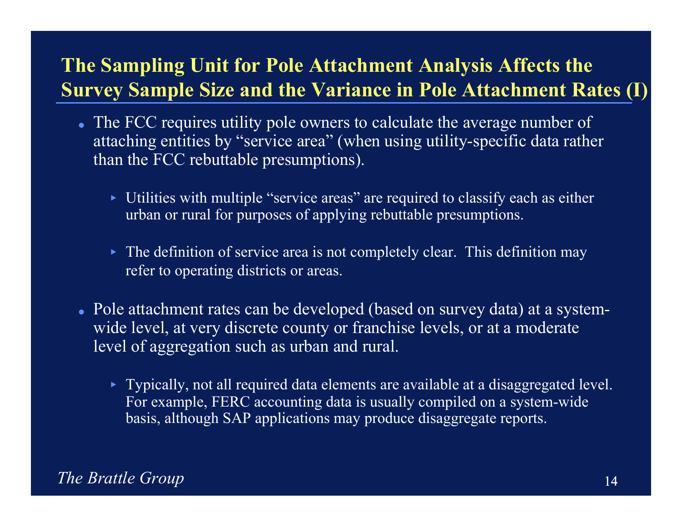### **The Sampling Unit for Pole Attachment Analysis Affects the Survey Sample Size and the Variance in Pole Attachment Rates (I)**

- The FCC requires utility pole owners to calculate the average number of attaching entities by "service area" (when using utility-specific data rather than the FCC rebuttable presumptions).
	- Utilities with multiple "service areas" are required to classify each as either urban or rural for purposes of applying rebuttable presumptions.
	- The definition of service area is not completely clear. This definition may refer to operating districts or areas.
- Pole attachment rates can be developed (based on survey data) at a systemwide level, at very discrete county or franchise levels, or at a moderate level of aggregation such as urban and rural.
	- Typically, not all required data elements are available at a disaggregated level. For example, FERC accounting data is usually compiled on a system-wide basis, although SAP applications may produce disaggregate reports.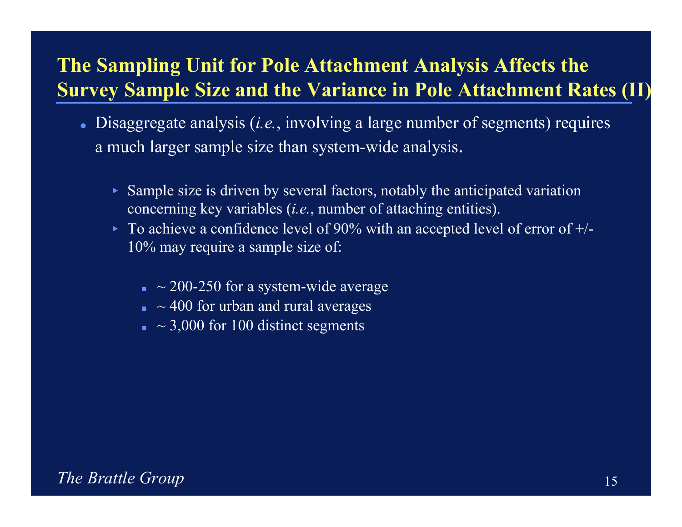### **The Sampling Unit for Pole Attachment Analysis Affects the Survey Sample Size and the Variance in Pole Attachment Rates (II)**

- Disaggregate analysis (*i.e.*, involving a large number of segments) requires a much larger sample size than system-wide analysis.
	- Sample size is driven by several factors, notably the anticipated variation concerning key variables (*i.e.*, number of attaching entities).
	- $\triangleright$  To achieve a confidence level of 90% with an accepted level of error of  $+/-$ 10% may require a sample size of:
		- $\sim$  200-250 for a system-wide average
		- $\Box \sim 400$  for urban and rural averages
		- $\blacksquare$  ~ 3,000 for 100 distinct segments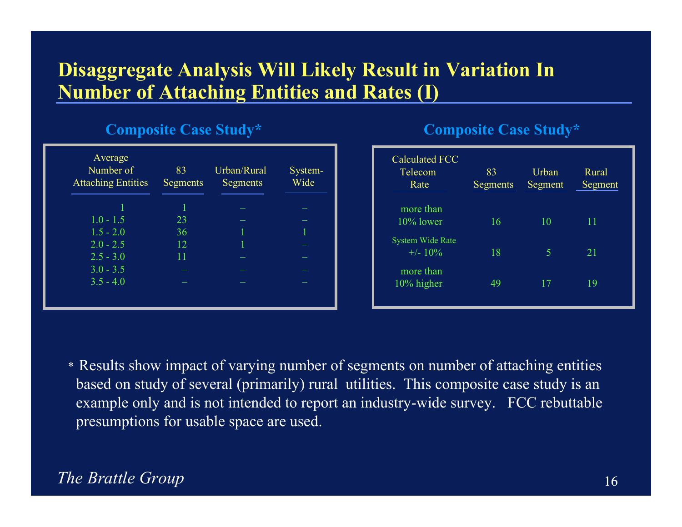### **Disaggregate Analysis Will Likely Result in Variation In Number of Attaching Entities and Rates (I)**

#### **Composite Case Study\***

| Average<br>Number of<br><b>Attaching Entities</b> | 83<br>Segments | Urban/Rural<br>Segments | System-<br>Wide |
|---------------------------------------------------|----------------|-------------------------|-----------------|
|                                                   |                |                         |                 |
| $1.0 - 1.5$                                       | 23             |                         |                 |
| $1.5 - 2.0$                                       | 36             |                         |                 |
| $2.0 - 2.5$                                       | 12             |                         |                 |
| $2.5 - 3.0$                                       | 11             |                         |                 |
| $3.0 - 3.5$                                       |                |                         |                 |
| $3.5 - 4.0$                                       |                |                         |                 |
|                                                   |                |                         |                 |

#### **Composite Case Study\***

| <b>Calculated FCC</b><br>Telecom<br>Rate | 83<br>Segments | Urban<br>Segment | Rural<br>Segment |
|------------------------------------------|----------------|------------------|------------------|
| more than<br>$10\%$ lower                | 16             | 10               | 11               |
| <b>System Wide Rate</b><br>$+/- 10\%$    | 18             | 5                | 21               |
| more than<br>10% higher                  | 49             | 17               | 19               |

\* Results show impact of varying number of segments on number of attaching entities based on study of several (primarily) rural utilities. This composite case study is an example only and is not intended to report an industry-wide survey. FCC rebuttable presumptions for usable space are used.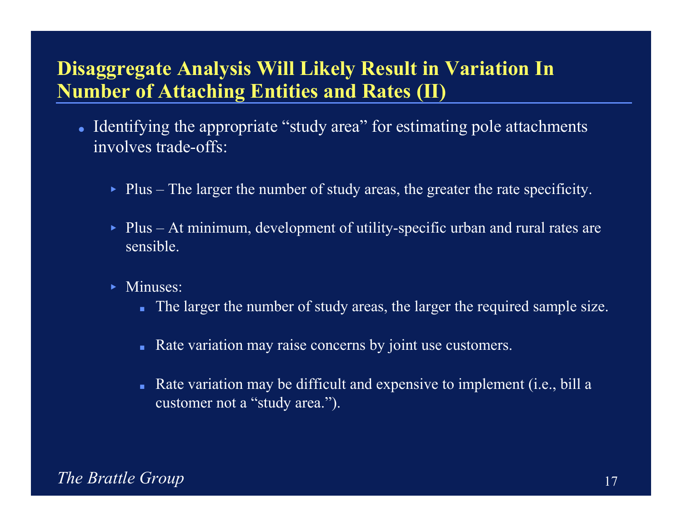### **Disaggregate Analysis Will Likely Result in Variation In Number of Attaching Entities and Rates (II)**

- Identifying the appropriate "study area" for estimating pole attachments involves trade-offs:
	- Plus The larger the number of study areas, the greater the rate specificity.
	- Plus At minimum, development of utility-specific urban and rural rates are sensible.
	- Minuses:
		- The larger the number of study areas, the larger the required sample size.
		- -Rate variation may raise concerns by joint use customers.
		- - Rate variation may be difficult and expensive to implement (i.e., bill a customer not a "study area.").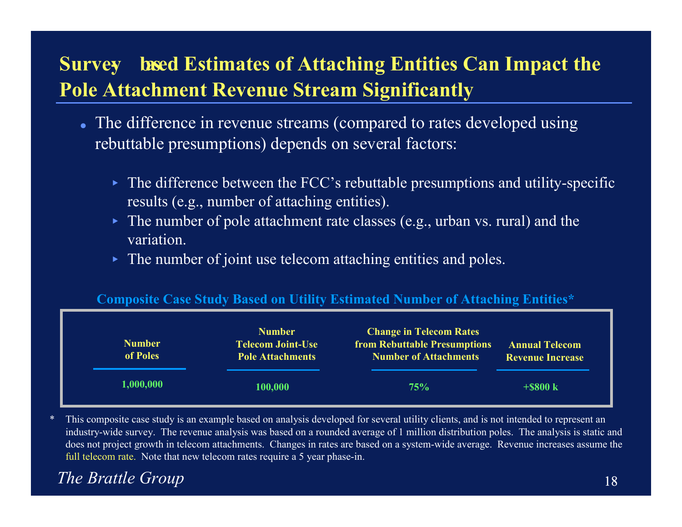# **Survey** based Estimates of Attaching Entities Can Impact the **Pole Attachment Revenue Stream Significantly**

- The difference in revenue streams (compared to rates developed using rebuttable presumptions) depends on several factors:
	- The difference between the FCC's rebuttable presumptions and utility-specific results (e.g., number of attaching entities).
	- The number of pole attachment rate classes (e.g., urban vs. rural) and the variation.
	- The number of joint use telecom attaching entities and poles.

#### **Composite Case Study Based on Utility Estimated Number of Attaching Entities\***

| <b>Number</b><br>of Poles | <b>Number</b><br><b>Telecom Joint-Use</b><br><b>Pole Attachments</b> | <b>Change in Telecom Rates</b><br><b>from Rebuttable Presumptions</b><br><b>Number of Attachments</b> | <b>Annual Telecom</b><br><b>Revenue Increase</b> |
|---------------------------|----------------------------------------------------------------------|-------------------------------------------------------------------------------------------------------|--------------------------------------------------|
| 1,000,000                 | 100,000                                                              | 75%                                                                                                   | $+$ \$800 k                                      |

This composite case study is an example based on analysis developed for several utility clients, and is not intended to represent an industry-wide survey. The revenue analysis was based on a rounded average of 1 million distribution poles. The analysis is static and does not project growth in telecom attachments. Changes in rates are based on a system-wide average. Revenue increases assume the full telecom rate. Note that new telecom rates require a 5 year phase-in.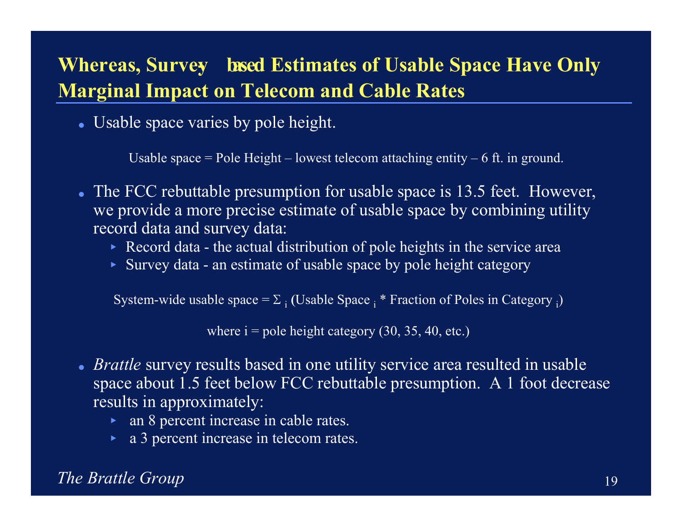# **Whereas, Survey- based Estimates of Usable Space Have Only Marginal Impact on Telecom and Cable Rates**

Usable space varies by pole height.

Usable space  $=$  Pole Height – lowest telecom attaching entity – 6 ft. in ground.

- The FCC rebuttable presumption for usable space is 13.5 feet. However, we provide a more precise estimate of usable space by combining utility record data and survey data:
	- Record data the actual distribution of pole heights in the service area
	- Survey data an estimate of usable space by pole height category

System-wide usable space =  $\Sigma$  <sub>i</sub> (Usable Space  $_{{\rm i}}$  \* Fraction of Poles in Category  $_{{\rm i}}$ )

where  $i =$  pole height category (30, 35, 40, etc.)

- *Brattle* survey results based in one utility service area resulted in usable space about 1.5 feet below FCC rebuttable presumption. A 1 foot decrease results in approximately:
	- an 8 percent increase in cable rates.
	- a 3 percent increase in telecom rates.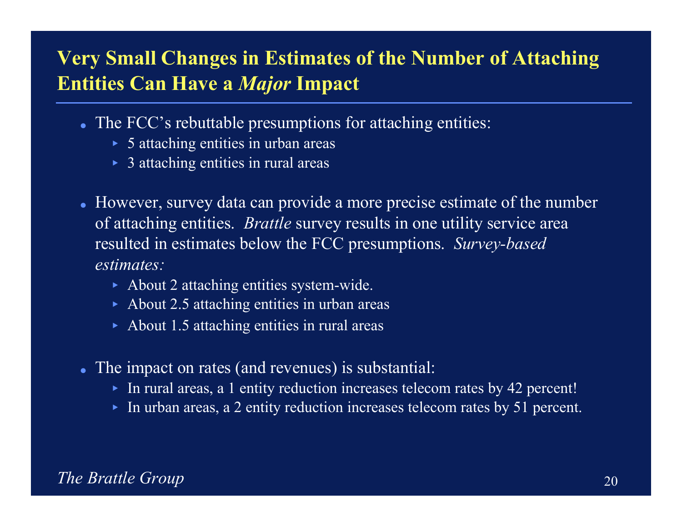### **Very Small Changes in Estimates of the Number of Attaching Entities Can Have a** *Major* **Impact**

- The FCC's rebuttable presumptions for attaching entities:
	- ► 5 attaching entities in urban areas
	- ▶ 3 attaching entities in rural areas
- However, survey data can provide a more precise estimate of the number of attaching entities. *Brattle* survey results in one utility service area resulted in estimates below the FCC presumptions. *Survey-based estimates:*
	- About 2 attaching entities system-wide.
	- ▶ About 2.5 attaching entities in urban areas
	- $\blacktriangleright$  About 1.5 attaching entities in rural areas
- The impact on rates (and revenues) is substantial:
	- In rural areas, a 1 entity reduction increases telecom rates by 42 percent!
	- In urban areas, a 2 entity reduction increases telecom rates by 51 percent.